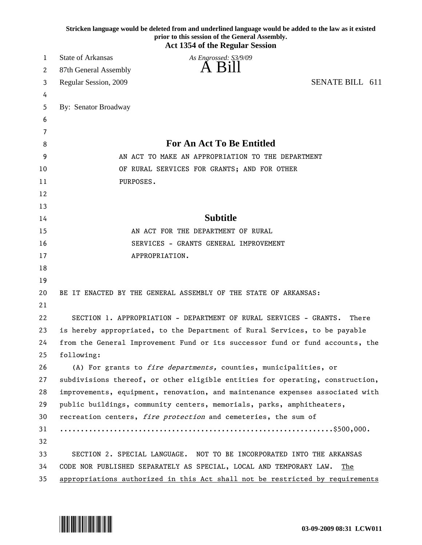|          | Stricken language would be deleted from and underlined language would be added to the law as it existed<br>prior to this session of the General Assembly.<br><b>Act 1354 of the Regular Session</b> |
|----------|-----------------------------------------------------------------------------------------------------------------------------------------------------------------------------------------------------|
| 1        | <b>State of Arkansas</b><br>As Engrossed: S3/9/09                                                                                                                                                   |
| 2        | 87th General Assembly                                                                                                                                                                               |
| 3        | SENATE BILL 611<br>Regular Session, 2009                                                                                                                                                            |
| 4        |                                                                                                                                                                                                     |
| 5        | By: Senator Broadway                                                                                                                                                                                |
| 6        |                                                                                                                                                                                                     |
| 7        |                                                                                                                                                                                                     |
| 8        | For An Act To Be Entitled                                                                                                                                                                           |
| 9        | AN ACT TO MAKE AN APPROPRIATION TO THE DEPARTMENT                                                                                                                                                   |
| 10       | OF RURAL SERVICES FOR GRANTS; AND FOR OTHER                                                                                                                                                         |
| 11       | PURPOSES.                                                                                                                                                                                           |
| 12       |                                                                                                                                                                                                     |
| 13       |                                                                                                                                                                                                     |
| 14       | <b>Subtitle</b>                                                                                                                                                                                     |
| 15       | AN ACT FOR THE DEPARTMENT OF RURAL                                                                                                                                                                  |
| 16       | SERVICES - GRANTS GENERAL IMPROVEMENT                                                                                                                                                               |
| 17       | APPROPRIATION.                                                                                                                                                                                      |
| 18       |                                                                                                                                                                                                     |
| 19       |                                                                                                                                                                                                     |
| 20       | BE IT ENACTED BY THE GENERAL ASSEMBLY OF THE STATE OF ARKANSAS:                                                                                                                                     |
| 21       |                                                                                                                                                                                                     |
| 22       | SECTION 1. APPROPRIATION - DEPARTMENT OF RURAL SERVICES - GRANTS.<br>There                                                                                                                          |
| 23<br>24 | is hereby appropriated, to the Department of Rural Services, to be payable                                                                                                                          |
| 25       | from the General Improvement Fund or its successor fund or fund accounts, the<br>following:                                                                                                         |
| 26       | (A) For grants to fire departments, counties, municipalities, or                                                                                                                                    |
| 27       | subdivisions thereof, or other eligible entities for operating, construction,                                                                                                                       |
| 28       | improvements, equipment, renovation, and maintenance expenses associated with                                                                                                                       |
| 29       | public buildings, community centers, memorials, parks, amphitheaters,                                                                                                                               |
| 30       | recreation centers, fire protection and cemeteries, the sum of                                                                                                                                      |
| 31       |                                                                                                                                                                                                     |
| 32       |                                                                                                                                                                                                     |
| 33       | SECTION 2. SPECIAL LANGUAGE. NOT TO BE INCORPORATED INTO THE ARKANSAS                                                                                                                               |
| 34       | CODE NOR PUBLISHED SEPARATELY AS SPECIAL, LOCAL AND TEMPORARY LAW.<br>The                                                                                                                           |
| 35       | appropriations authorized in this Act shall not be restricted by requirements                                                                                                                       |

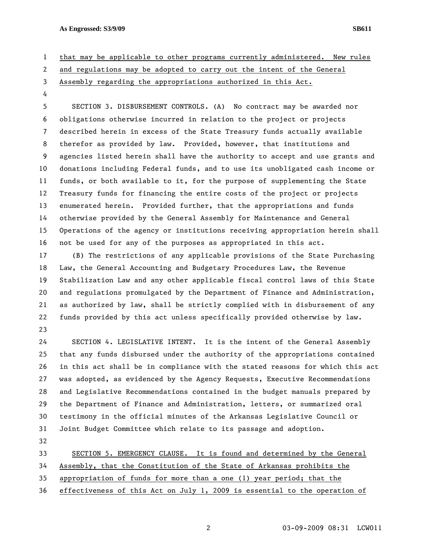**As Engrossed: S3/9/09 SB611** 

1 that may be applicable to other programs currently administered. New rules

2 and regulations may be adopted to carry out the intent of the General

- 3 Assembly regarding the appropriations authorized in this Act.
- 4

5 SECTION 3. DISBURSEMENT CONTROLS. (A) No contract may be awarded nor 6 obligations otherwise incurred in relation to the project or projects 7 described herein in excess of the State Treasury funds actually available 8 therefor as provided by law. Provided, however, that institutions and 9 agencies listed herein shall have the authority to accept and use grants and 10 donations including Federal funds, and to use its unobligated cash income or 11 funds, or both available to it, for the purpose of supplementing the State 12 Treasury funds for financing the entire costs of the project or projects 13 enumerated herein. Provided further, that the appropriations and funds 14 otherwise provided by the General Assembly for Maintenance and General 15 Operations of the agency or institutions receiving appropriation herein shall 16 not be used for any of the purposes as appropriated in this act.

17 (B) The restrictions of any applicable provisions of the State Purchasing 18 Law, the General Accounting and Budgetary Procedures Law, the Revenue 19 Stabilization Law and any other applicable fiscal control laws of this State 20 and regulations promulgated by the Department of Finance and Administration, 21 as authorized by law, shall be strictly complied with in disbursement of any 22 funds provided by this act unless specifically provided otherwise by law. 23

24 SECTION 4. LEGISLATIVE INTENT. It is the intent of the General Assembly 25 that any funds disbursed under the authority of the appropriations contained 26 in this act shall be in compliance with the stated reasons for which this act 27 was adopted, as evidenced by the Agency Requests, Executive Recommendations 28 and Legislative Recommendations contained in the budget manuals prepared by 29 the Department of Finance and Administration, letters, or summarized oral 30 testimony in the official minutes of the Arkansas Legislative Council or 31 Joint Budget Committee which relate to its passage and adoption.

32

33 SECTION 5. EMERGENCY CLAUSE. It is found and determined by the General

34 Assembly, that the Constitution of the State of Arkansas prohibits the

35 appropriation of funds for more than a one (1) year period; that the

36 effectiveness of this Act on July 1, 2009 is essential to the operation of